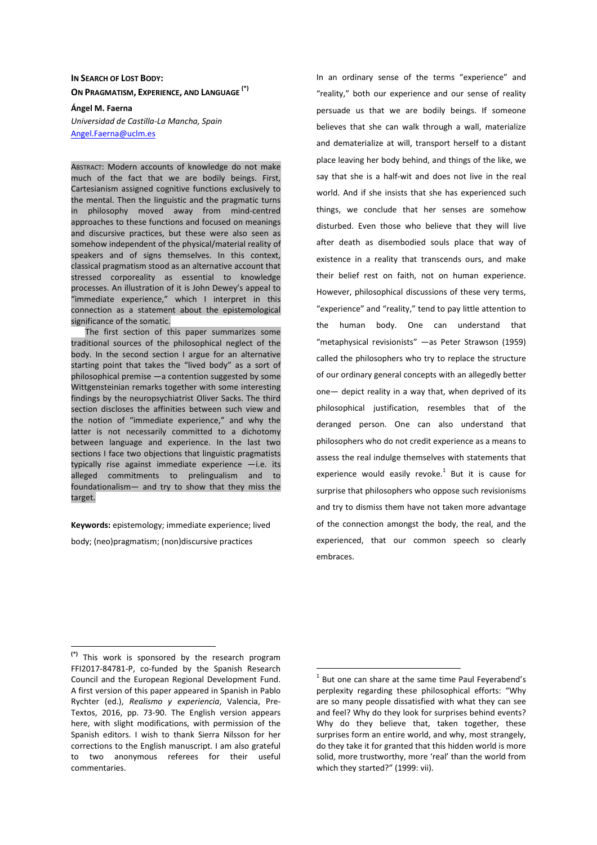# **IN SEARCH OF LOST BODY: ON PRAGMATISM, EXPERIENCE, AND LANGUAGE (\*)**

**Ángel M. Faerna**  *Universidad de Castilla-La Mancha, Spain*  Angel.Faerna@uclm.es

ABSTRACT: Modern accounts of knowledge do not make much of the fact that we are bodily beings. First, Cartesianism assigned cognitive functions exclusively to the mental. Then the linguistic and the pragmatic turns in philosophy moved away from mind-centred approaches to these functions and focused on meanings and discursive practices, but these were also seen as somehow independent of the physical/material reality of speakers and of signs themselves. In this context, classical pragmatism stood as an alternative account that stressed corporeality as essential to knowledge processes. An illustration of it is John Dewey's appeal to "immediate experience," which I interpret in this connection as a statement about the epistemological significance of the somatic.

The first section of this paper summarizes some traditional sources of the philosophical neglect of the body. In the second section I argue for an alternative starting point that takes the "lived body" as a sort of philosophical premise —a contention suggested by some Wittgensteinian remarks together with some interesting findings by the neuropsychiatrist Oliver Sacks. The third section discloses the affinities between such view and the notion of "immediate experience," and why the latter is not necessarily committed to a dichotomy between language and experience. In the last two sections I face two objections that linguistic pragmatists typically rise against immediate experience  $-$ i.e. its alleged commitments to prelingualism and to foundationalism— and try to show that they miss the target.

**Keywords:** epistemology; immediate experience; lived

body; (neo)pragmatism; (non)discursive practices

 $\overline{a}$ 

In an ordinary sense of the terms "experience" and "reality," both our experience and our sense of reality persuade us that we are bodily beings. If someone believes that she can walk through a wall, materialize and dematerialize at will, transport herself to a distant place leaving her body behind, and things of the like, we say that she is a half-wit and does not live in the real world. And if she insists that she has experienced such things, we conclude that her senses are somehow disturbed. Even those who believe that they will live after death as disembodied souls place that way of existence in a reality that transcends ours, and make their belief rest on faith, not on human experience. However, philosophical discussions of these very terms, "experience" and "reality," tend to pay little attention to the human body. One can understand that "metaphysical revisionists" —as Peter Strawson (1959) called the philosophers who try to replace the structure of our ordinary general concepts with an allegedly better one— depict reality in a way that, when deprived of its philosophical justification, resembles that of the deranged person. One can also understand that philosophers who do not credit experience as a means to assess the real indulge themselves with statements that experience would easily revoke. $1$  But it is cause for surprise that philosophers who oppose such revisionisms and try to dismiss them have not taken more advantage of the connection amongst the body, the real, and the experienced, that our common speech so clearly embraces.

**<sup>(\*)</sup>** This work is sponsored by the research program FFI2017-84781-P, co-funded by the Spanish Research Council and the European Regional Development Fund. A first version of this paper appeared in Spanish in Pablo Rychter (ed.), *Realismo y experiencia*, Valencia, Pre-Textos, 2016, pp. 73-90. The English version appears here, with slight modifications, with permission of the Spanish editors. I wish to thank Sierra Nilsson for her corrections to the English manuscript. I am also grateful to two anonymous referees for their useful commentaries.

 $1$  But one can share at the same time Paul Feyerabend's perplexity regarding these philosophical efforts: "Why are so many people dissatisfied with what they can see and feel? Why do they look for surprises behind events? Why do they believe that, taken together, these surprises form an entire world, and why, most strangely, do they take it for granted that this hidden world is more solid, more trustworthy, more 'real' than the world from which they started?" (1999: vii).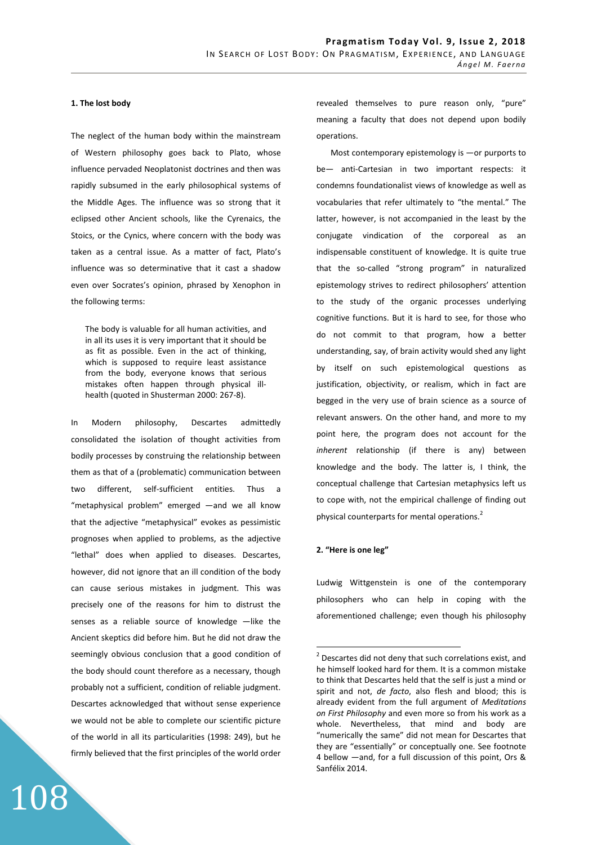# **1. The lost body**

The neglect of the human body within the mainstream of Western philosophy goes back to Plato, whose influence pervaded Neoplatonist doctrines and then was rapidly subsumed in the early philosophical systems of the Middle Ages. The influence was so strong that it eclipsed other Ancient schools, like the Cyrenaics, the Stoics, or the Cynics, where concern with the body was taken as a central issue. As a matter of fact, Plato's influence was so determinative that it cast a shadow even over Socrates's opinion, phrased by Xenophon in the following terms:

The body is valuable for all human activities, and in all its uses it is very important that it should be as fit as possible. Even in the act of thinking, which is supposed to require least assistance from the body, everyone knows that serious mistakes often happen through physical illhealth (quoted in Shusterman 2000: 267-8).

In Modern philosophy, Descartes admittedly consolidated the isolation of thought activities from bodily processes by construing the relationship between them as that of a (problematic) communication between two different, self-sufficient entities. Thus a "metaphysical problem" emerged —and we all know that the adjective "metaphysical" evokes as pessimistic prognoses when applied to problems, as the adjective "lethal" does when applied to diseases. Descartes, however, did not ignore that an ill condition of the body can cause serious mistakes in judgment. This was precisely one of the reasons for him to distrust the senses as a reliable source of knowledge -like the Ancient skeptics did before him. But he did not draw the seemingly obvious conclusion that a good condition of the body should count therefore as a necessary, though probably not a sufficient, condition of reliable judgment. Descartes acknowledged that without sense experience we would not be able to complete our scientific picture of the world in all its particularities (1998: 249), but he firmly believed that the first principles of the world order

108

revealed themselves to pure reason only, "pure" meaning a faculty that does not depend upon bodily operations.

Most contemporary epistemology is —or purports to be— anti-Cartesian in two important respects: it condemns foundationalist views of knowledge as well as vocabularies that refer ultimately to "the mental." The latter, however, is not accompanied in the least by the conjugate vindication of the corporeal as an indispensable constituent of knowledge. It is quite true that the so-called "strong program" in naturalized epistemology strives to redirect philosophers' attention to the study of the organic processes underlying cognitive functions. But it is hard to see, for those who do not commit to that program, how a better understanding, say, of brain activity would shed any light by itself on such epistemological questions as justification, objectivity, or realism, which in fact are begged in the very use of brain science as a source of relevant answers. On the other hand, and more to my point here, the program does not account for the *inherent* relationship (if there is any) between knowledge and the body. The latter is, I think, the conceptual challenge that Cartesian metaphysics left us to cope with, not the empirical challenge of finding out physical counterparts for mental operations.<sup>2</sup>

#### **2. "Here is one leg"**

 $\overline{a}$ 

Ludwig Wittgenstein is one of the contemporary philosophers who can help in coping with the aforementioned challenge; even though his philosophy

 $2$  Descartes did not deny that such correlations exist, and he himself looked hard for them. It is a common mistake to think that Descartes held that the self is just a mind or spirit and not, *de facto*, also flesh and blood; this is already evident from the full argument of *Meditations on First Philosophy* and even more so from his work as a whole. Nevertheless, that mind and body are "numerically the same" did not mean for Descartes that they are "essentially" or conceptually one. See footnote 4 bellow —and, for a full discussion of this point, Ors & Sanfélix 2014.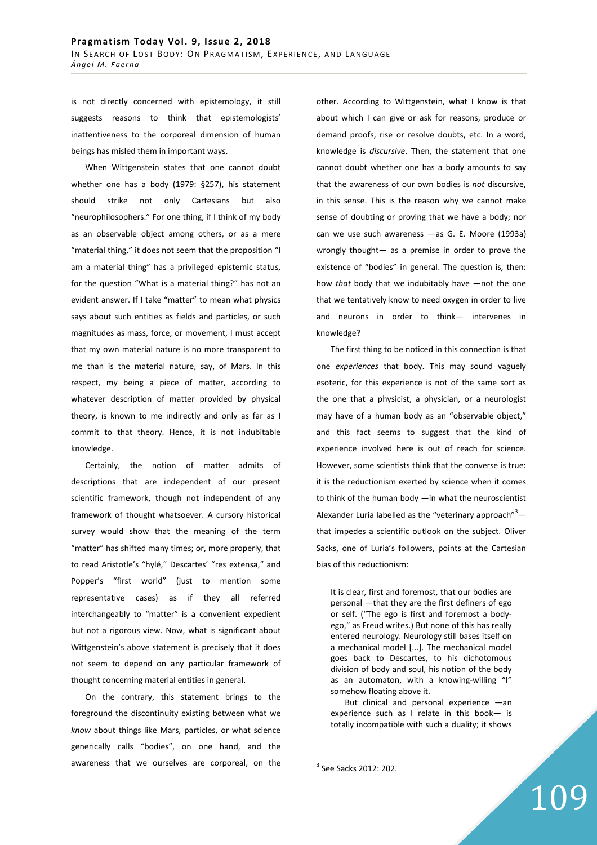is not directly concerned with epistemology, it still suggests reasons to think that epistemologists' inattentiveness to the corporeal dimension of human beings has misled them in important ways.

When Wittgenstein states that one cannot doubt whether one has a body (1979: §257), his statement should strike not only Cartesians but also "neurophilosophers." For one thing, if I think of my body as an observable object among others, or as a mere "material thing," it does not seem that the proposition "I am a material thing" has a privileged epistemic status, for the question "What is a material thing?" has not an evident answer. If I take "matter" to mean what physics says about such entities as fields and particles, or such magnitudes as mass, force, or movement, I must accept that my own material nature is no more transparent to me than is the material nature, say, of Mars. In this respect, my being a piece of matter, according to whatever description of matter provided by physical theory, is known to me indirectly and only as far as I commit to that theory. Hence, it is not indubitable knowledge.

Certainly, the notion of matter admits of descriptions that are independent of our present scientific framework, though not independent of any framework of thought whatsoever. A cursory historical survey would show that the meaning of the term "matter" has shifted many times; or, more properly, that to read Aristotle's "hylé," Descartes' "res extensa," and Popper's "first world" (just to mention some representative cases) as if they all referred interchangeably to "matter" is a convenient expedient but not a rigorous view. Now, what is significant about Wittgenstein's above statement is precisely that it does not seem to depend on any particular framework of thought concerning material entities in general.

On the contrary, this statement brings to the foreground the discontinuity existing between what we *know* about things like Mars, particles, or what science generically calls "bodies", on one hand, and the awareness that we ourselves are corporeal, on the other. According to Wittgenstein, what I know is that about which I can give or ask for reasons, produce or demand proofs, rise or resolve doubts, etc. In a word, knowledge is *discursive*. Then, the statement that one cannot doubt whether one has a body amounts to say that the awareness of our own bodies is *not* discursive, in this sense. This is the reason why we cannot make sense of doubting or proving that we have a body; nor can we use such awareness —as G. E. Moore (1993a) wrongly thought— as a premise in order to prove the existence of "bodies" in general. The question is, then: how *that* body that we indubitably have —not the one that we tentatively know to need oxygen in order to live and neurons in order to think— intervenes in knowledge?

The first thing to be noticed in this connection is that one *experiences* that body. This may sound vaguely esoteric, for this experience is not of the same sort as the one that a physicist, a physician, or a neurologist may have of a human body as an "observable object," and this fact seems to suggest that the kind of experience involved here is out of reach for science. However, some scientists think that the converse is true: it is the reductionism exerted by science when it comes to think of the human body —in what the neuroscientist Alexander Luria labelled as the "veterinary approach" $3$ that impedes a scientific outlook on the subject. Oliver Sacks, one of Luria's followers, points at the Cartesian bias of this reductionism:

It is clear, first and foremost, that our bodies are personal —that they are the first definers of ego or self. ("The ego is first and foremost a bodyego," as Freud writes.) But none of this has really entered neurology. Neurology still bases itself on a mechanical model [...]. The mechanical model goes back to Descartes, to his dichotomous division of body and soul, his notion of the body as an automaton, with a knowing-willing "I" somehow floating above it.

But clinical and personal experience —an experience such as I relate in this book— is totally incompatible with such a duality; it shows

109

<sup>&</sup>lt;sup>3</sup> See Sacks 2012: 202.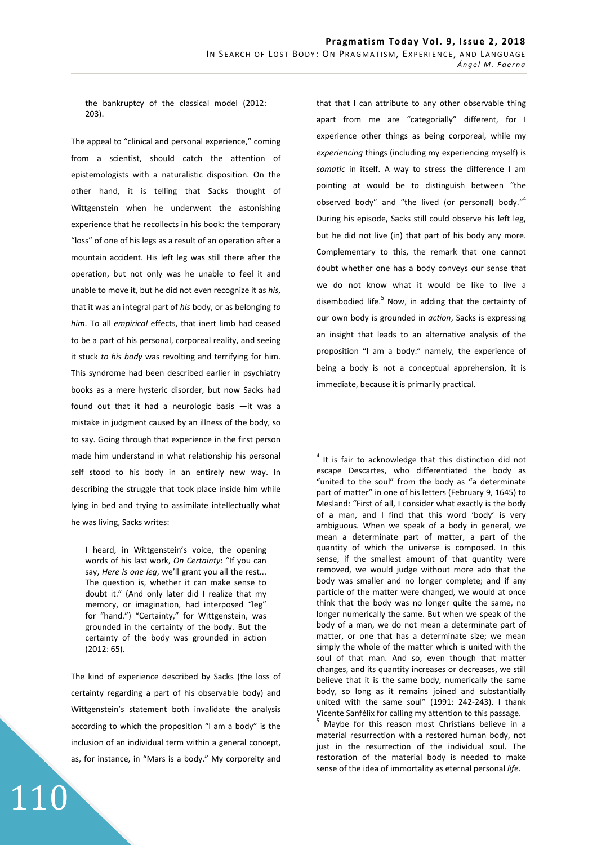$\overline{a}$ 

the bankruptcy of the classical model (2012: 203).

The appeal to "clinical and personal experience," coming from a scientist, should catch the attention of epistemologists with a naturalistic disposition. On the other hand, it is telling that Sacks thought of Wittgenstein when he underwent the astonishing experience that he recollects in his book: the temporary "loss" of one of his legs as a result of an operation after a mountain accident. His left leg was still there after the operation, but not only was he unable to feel it and unable to move it, but he did not even recognize it as *his*, that it was an integral part of *his* body, or as belonging *to him*. To all *empirical* effects, that inert limb had ceased to be a part of his personal, corporeal reality, and seeing it stuck *to his body* was revolting and terrifying for him. This syndrome had been described earlier in psychiatry books as a mere hysteric disorder, but now Sacks had found out that it had a neurologic basis —it was a mistake in judgment caused by an illness of the body, so to say. Going through that experience in the first person made him understand in what relationship his personal self stood to his body in an entirely new way. In describing the struggle that took place inside him while lying in bed and trying to assimilate intellectually what he was living, Sacks writes:

I heard, in Wittgenstein's voice, the opening words of his last work, *On Certainty*: "If you can say, *Here is one leg*, we'll grant you all the rest... The question is, whether it can make sense to doubt it." (And only later did I realize that my memory, or imagination, had interposed "leg" for "hand.") "Certainty," for Wittgenstein, was grounded in the certainty of the body. But the certainty of the body was grounded in action (2012: 65).

The kind of experience described by Sacks (the loss of certainty regarding a part of his observable body) and Wittgenstein's statement both invalidate the analysis according to which the proposition "I am a body" is the inclusion of an individual term within a general concept, as, for instance, in "Mars is a body." My corporeity and

110

that that I can attribute to any other observable thing apart from me are "categorially" different, for I experience other things as being corporeal, while my *experiencing* things (including my experiencing myself) is *somatic* in itself. A way to stress the difference I am pointing at would be to distinguish between "the observed body" and "the lived (or personal) body."<sup>4</sup> During his episode, Sacks still could observe his left leg, but he did not live (in) that part of his body any more. Complementary to this, the remark that one cannot doubt whether one has a body conveys our sense that we do not know what it would be like to live a disembodied life.<sup>5</sup> Now, in adding that the certainty of our own body is grounded in *action*, Sacks is expressing an insight that leads to an alternative analysis of the proposition "I am a body:" namely, the experience of being a body is not a conceptual apprehension, it is immediate, because it is primarily practical.

<sup>4</sup> It is fair to acknowledge that this distinction did not escape Descartes, who differentiated the body as "united to the soul" from the body as "a determinate part of matter" in one of his letters (February 9, 1645) to Mesland: "First of all, I consider what exactly is the body of a man, and I find that this word 'body' is very ambiguous. When we speak of a body in general, we mean a determinate part of matter, a part of the quantity of which the universe is composed. In this sense, if the smallest amount of that quantity were removed, we would judge without more ado that the body was smaller and no longer complete; and if any particle of the matter were changed, we would at once think that the body was no longer quite the same, no longer numerically the same. But when we speak of the body of a man, we do not mean a determinate part of matter, or one that has a determinate size; we mean simply the whole of the matter which is united with the soul of that man. And so, even though that matter changes, and its quantity increases or decreases, we still believe that it is the same body, numerically the same body, so long as it remains joined and substantially united with the same soul" (1991: 242-243). I thank Vicente Sanfélix for calling my attention to this passage.

5 Maybe for this reason most Christians believe in a material resurrection with a restored human body, not just in the resurrection of the individual soul. The restoration of the material body is needed to make sense of the idea of immortality as eternal personal *life*.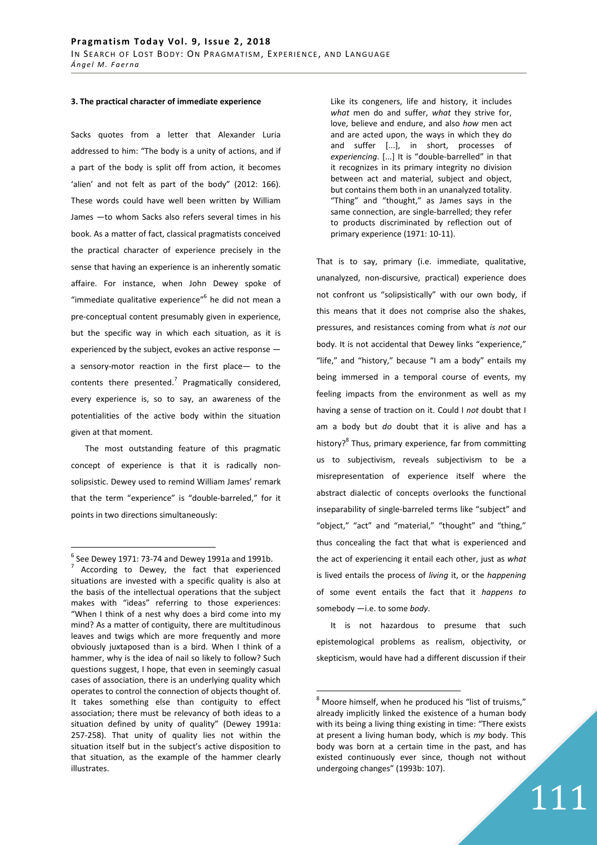#### **3. The practical character of immediate experience**

Sacks quotes from a letter that Alexander Luria addressed to him: "The body is a unity of actions, and if a part of the body is split off from action, it becomes 'alien' and not felt as part of the body" (2012: 166). These words could have well been written by William James —to whom Sacks also refers several times in his book. As a matter of fact, classical pragmatists conceived the practical character of experience precisely in the sense that having an experience is an inherently somatic affaire. For instance, when John Dewey spoke of "immediate qualitative experience"<sup>6</sup> he did not mean a pre-conceptual content presumably given in experience, but the specific way in which each situation, as it is experienced by the subject, evokes an active response a sensory-motor reaction in the first place— to the contents there presented.<sup>7</sup> Pragmatically considered, every experience is, so to say, an awareness of the potentialities of the active body within the situation given at that moment.

The most outstanding feature of this pragmatic concept of experience is that it is radically nonsolipsistic. Dewey used to remind William James' remark that the term "experience" is "double-barreled," for it points in two directions simultaneously:

 $\overline{a}$ 

Like its congeners, life and history, it includes *what* men do and suffer, *what* they strive for, love, believe and endure, and also *how* men act and are acted upon, the ways in which they do and suffer [...], in short, processes of *experiencing*. [...] It is "double-barrelled" in that it recognizes in its primary integrity no division between act and material, subject and object, but contains them both in an unanalyzed totality. "Thing" and "thought," as James says in the same connection, are single-barrelled; they refer to products discriminated by reflection out of primary experience (1971: 10-11).

That is to say, primary (i.e. immediate, qualitative, unanalyzed, non-discursive, practical) experience does not confront us "solipsistically" with our own body, if this means that it does not comprise also the shakes, pressures, and resistances coming from what *is not* our body. It is not accidental that Dewey links "experience," "life," and "history," because "I am a body" entails my being immersed in a temporal course of events, my feeling impacts from the environment as well as my having a sense of traction on it. Could I *not* doubt that I am a body but *do* doubt that it is alive and has a history?<sup>8</sup> Thus, primary experience, far from committing us to subjectivism, reveals subjectivism to be a misrepresentation of experience itself where the abstract dialectic of concepts overlooks the functional inseparability of single-barreled terms like "subject" and "object," "act" and "material," "thought" and "thing," thus concealing the fact that what is experienced and the act of experiencing it entail each other, just as *what* is lived entails the process of *living* it, or the *happening* of some event entails the fact that it *happens to* somebody —i.e. to some *body*.

It is not hazardous to presume that such epistemological problems as realism, objectivity, or skepticism, would have had a different discussion if their

 $\overline{a}$ 

 $^6$  See Dewey 1971: 73-74 and Dewey 1991a and 1991b. According to Dewey, the fact that experienced situations are invested with a specific quality is also at the basis of the intellectual operations that the subject makes with "ideas" referring to those experiences: "When I think of a nest why does a bird come into my mind? As a matter of contiguity, there are multitudinous leaves and twigs which are more frequently and more obviously juxtaposed than is a bird. When I think of a hammer, why is the idea of nail so likely to follow? Such questions suggest, I hope, that even in seemingly casual cases of association, there is an underlying quality which operates to control the connection of objects thought of. It takes something else than contiguity to effect association; there must be relevancy of both ideas to a situation defined by unity of quality" (Dewey 1991a: 257-258). That unity of quality lies not within the situation itself but in the subject's active disposition to that situation, as the example of the hammer clearly illustrates.

 $^8$  Moore himself, when he produced his "list of truisms," already implicitly linked the existence of a human body with its being a living thing existing in time: "There exists at present a living human body, which is *my* body. This body was born at a certain time in the past, and has existed continuously ever since, though not without undergoing changes" (1993b: 107).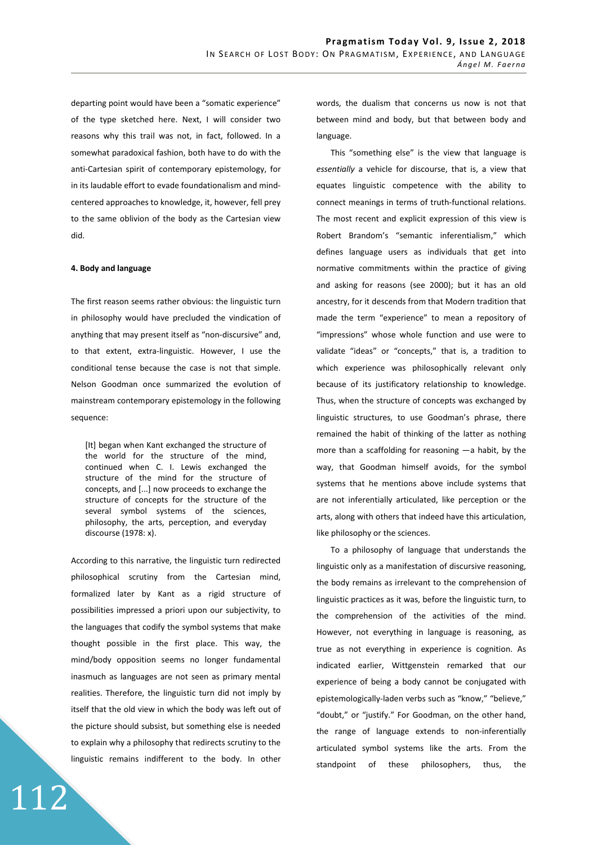departing point would have been a "somatic experience" of the type sketched here. Next, I will consider two reasons why this trail was not, in fact, followed. In a somewhat paradoxical fashion, both have to do with the anti-Cartesian spirit of contemporary epistemology, for in its laudable effort to evade foundationalism and mindcentered approaches to knowledge, it, however, fell prey to the same oblivion of the body as the Cartesian view did.

## **4. Body and language**

The first reason seems rather obvious: the linguistic turn in philosophy would have precluded the vindication of anything that may present itself as "non-discursive" and, to that extent, extra-linguistic. However, I use the conditional tense because the case is not that simple. Nelson Goodman once summarized the evolution of mainstream contemporary epistemology in the following sequence:

[It] began when Kant exchanged the structure of the world for the structure of the mind, continued when C. I. Lewis exchanged the structure of the mind for the structure of concepts, and [...] now proceeds to exchange the structure of concepts for the structure of the several symbol systems of the sciences, philosophy, the arts, perception, and everyday discourse (1978: x).

According to this narrative, the linguistic turn redirected philosophical scrutiny from the Cartesian mind, formalized later by Kant as a rigid structure of possibilities impressed a priori upon our subjectivity, to the languages that codify the symbol systems that make thought possible in the first place. This way, the mind/body opposition seems no longer fundamental inasmuch as languages are not seen as primary mental realities. Therefore, the linguistic turn did not imply by itself that the old view in which the body was left out of the picture should subsist, but something else is needed to explain why a philosophy that redirects scrutiny to the linguistic remains indifferent to the body. In other

112

words, the dualism that concerns us now is not that between mind and body, but that between body and language.

This "something else" is the view that language is *essentially* a vehicle for discourse, that is, a view that equates linguistic competence with the ability to connect meanings in terms of truth-functional relations. The most recent and explicit expression of this view is Robert Brandom's "semantic inferentialism," which defines language users as individuals that get into normative commitments within the practice of giving and asking for reasons (see 2000); but it has an old ancestry, for it descends from that Modern tradition that made the term "experience" to mean a repository of "impressions" whose whole function and use were to validate "ideas" or "concepts," that is, a tradition to which experience was philosophically relevant only because of its justificatory relationship to knowledge. Thus, when the structure of concepts was exchanged by linguistic structures, to use Goodman's phrase, there remained the habit of thinking of the latter as nothing more than a scaffolding for reasoning  $-a$  habit, by the way, that Goodman himself avoids, for the symbol systems that he mentions above include systems that are not inferentially articulated, like perception or the arts, along with others that indeed have this articulation, like philosophy or the sciences.

To a philosophy of language that understands the linguistic only as a manifestation of discursive reasoning, the body remains as irrelevant to the comprehension of linguistic practices as it was, before the linguistic turn, to the comprehension of the activities of the mind. However, not everything in language is reasoning, as true as not everything in experience is cognition. As indicated earlier, Wittgenstein remarked that our experience of being a body cannot be conjugated with epistemologically-laden verbs such as "know," "believe," "doubt," or "justify." For Goodman, on the other hand, the range of language extends to non-inferentially articulated symbol systems like the arts. From the standpoint of these philosophers, thus, the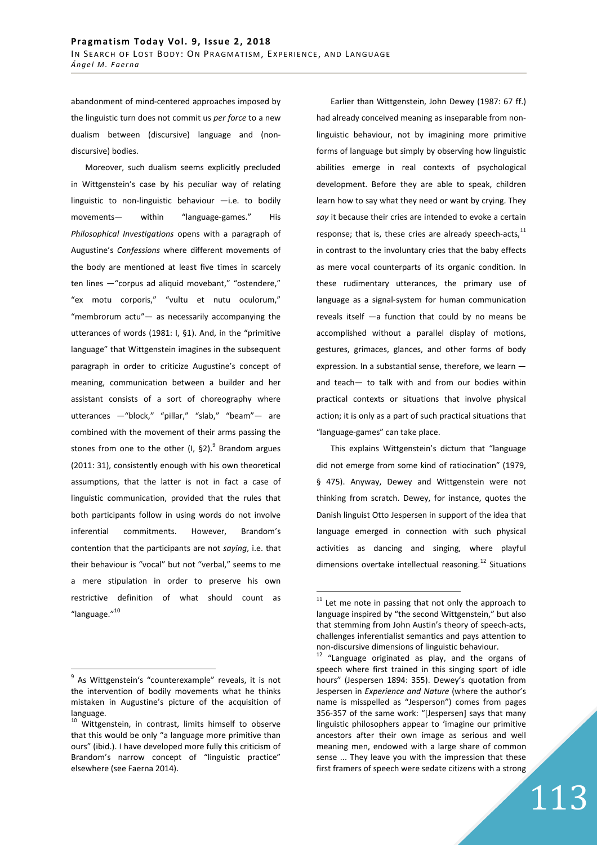abandonment of mind-centered approaches imposed by the linguistic turn does not commit us *per force* to a new dualism between (discursive) language and (nondiscursive) bodies.

Moreover, such dualism seems explicitly precluded in Wittgenstein's case by his peculiar way of relating linguistic to non-linguistic behaviour  $-$ i.e. to bodily movements— within "language-games." His *Philosophical Investigations* opens with a paragraph of Augustine's *Confessions* where different movements of the body are mentioned at least five times in scarcely ten lines —"corpus ad aliquid movebant," "ostendere," "ex motu corporis," "vultu et nutu oculorum," "membrorum actu"— as necessarily accompanying the utterances of words (1981: I, §1). And, in the "primitive language" that Wittgenstein imagines in the subsequent paragraph in order to criticize Augustine's concept of meaning, communication between a builder and her assistant consists of a sort of choreography where utterances —"block," "pillar," "slab," "beam"— are combined with the movement of their arms passing the stones from one to the other  $(1, 62)$ .<sup>9</sup> Brandom argues (2011: 31), consistently enough with his own theoretical assumptions, that the latter is not in fact a case of linguistic communication, provided that the rules that both participants follow in using words do not involve inferential commitments. However, Brandom's contention that the participants are not *saying*, i.e. that their behaviour is "vocal" but not "verbal," seems to me a mere stipulation in order to preserve his own restrictive definition of what should count as "language."<sup>10</sup>

 $\overline{a}$ 

Earlier than Wittgenstein, John Dewey (1987: 67 ff.) had already conceived meaning as inseparable from nonlinguistic behaviour, not by imagining more primitive forms of language but simply by observing how linguistic abilities emerge in real contexts of psychological development. Before they are able to speak, children learn how to say what they need or want by crying. They *say* it because their cries are intended to evoke a certain response; that is, these cries are already speech-acts, $^{11}$ in contrast to the involuntary cries that the baby effects as mere vocal counterparts of its organic condition. In these rudimentary utterances, the primary use of language as a signal-system for human communication reveals itself —a function that could by no means be accomplished without a parallel display of motions, gestures, grimaces, glances, and other forms of body expression. In a substantial sense, therefore, we learn and teach— to talk with and from our bodies within practical contexts or situations that involve physical action; it is only as a part of such practical situations that "language-games" can take place.

This explains Wittgenstein's dictum that "language did not emerge from some kind of ratiocination" (1979, § 475). Anyway, Dewey and Wittgenstein were not thinking from scratch. Dewey, for instance, quotes the Danish linguist Otto Jespersen in support of the idea that language emerged in connection with such physical activities as dancing and singing, where playful dimensions overtake intellectual reasoning.<sup>12</sup> Situations

<sup>&</sup>lt;sup>9</sup> As Wittgenstein's "counterexample" reveals, it is not the intervention of bodily movements what he thinks mistaken in Augustine's picture of the acquisition of language.

<sup>10</sup> Wittgenstein, in contrast, limits himself to observe that this would be only "a language more primitive than ours" (ibid.). I have developed more fully this criticism of Brandom's narrow concept of "linguistic practice" elsewhere (see Faerna 2014).

 $\overline{a}$  $11$  Let me note in passing that not only the approach to language inspired by "the second Wittgenstein," but also that stemming from John Austin's theory of speech-acts, challenges inferentialist semantics and pays attention to non-discursive dimensions of linguistic behaviour.

<sup>&</sup>lt;sup>12</sup> "Language originated as play, and the organs of speech where first trained in this singing sport of idle hours" (Jespersen 1894: 355). Dewey's quotation from Jespersen in *Experience and Nature* (where the author's name is misspelled as "Jesperson") comes from pages 356-357 of the same work: "[Jespersen] says that many linguistic philosophers appear to 'imagine our primitive ancestors after their own image as serious and well meaning men, endowed with a large share of common sense ... They leave you with the impression that these first framers of speech were sedate citizens with a strong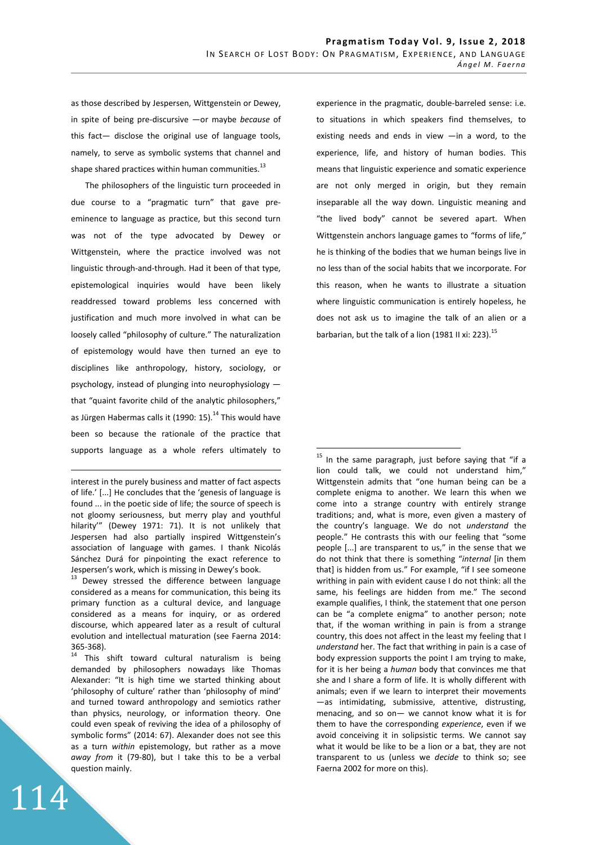$\overline{a}$ 

as those described by Jespersen, Wittgenstein or Dewey, in spite of being pre-discursive —or maybe *because* of this fact— disclose the original use of language tools, namely, to serve as symbolic systems that channel and shape shared practices within human communities. $^{13}$ 

The philosophers of the linguistic turn proceeded in due course to a "pragmatic turn" that gave preeminence to language as practice, but this second turn was not of the type advocated by Dewey or Wittgenstein, where the practice involved was not linguistic through-and-through. Had it been of that type, epistemological inquiries would have been likely readdressed toward problems less concerned with justification and much more involved in what can be loosely called "philosophy of culture." The naturalization of epistemology would have then turned an eye to disciplines like anthropology, history, sociology, or psychology, instead of plunging into neurophysiology that "quaint favorite child of the analytic philosophers," as Jürgen Habermas calls it (1990: 15).<sup>14</sup> This would have been so because the rationale of the practice that supports language as a whole refers ultimately to

<sup>13</sup> Dewey stressed the difference between language considered as a means for communication, this being its primary function as a cultural device, and language considered as a means for inquiry, or as ordered discourse, which appeared later as a result of cultural evolution and intellectual maturation (see Faerna 2014: 365-368).

 $14$  This shift toward cultural naturalism is being demanded by philosophers nowadays like Thomas Alexander: "It is high time we started thinking about 'philosophy of culture' rather than 'philosophy of mind' and turned toward anthropology and semiotics rather than physics, neurology, or information theory. One could even speak of reviving the idea of a philosophy of symbolic forms" (2014: 67). Alexander does not see this as a turn *within* epistemology, but rather as a move *away from* it (79-80), but I take this to be a verbal question mainly.

114

experience in the pragmatic, double-barreled sense: i.e. to situations in which speakers find themselves, to existing needs and ends in view —in a word, to the experience, life, and history of human bodies. This means that linguistic experience and somatic experience are not only merged in origin, but they remain inseparable all the way down. Linguistic meaning and "the lived body" cannot be severed apart. When Wittgenstein anchors language games to "forms of life," he is thinking of the bodies that we human beings live in no less than of the social habits that we incorporate. For this reason, when he wants to illustrate a situation where linguistic communication is entirely hopeless, he does not ask us to imagine the talk of an alien or a barbarian, but the talk of a lion (1981 II xi: 223).<sup>15</sup>

<sup>&</sup>lt;u>.</u> interest in the purely business and matter of fact aspects of life.' [...] He concludes that the 'genesis of language is found ... in the poetic side of life; the source of speech is not gloomy seriousness, but merry play and youthful hilarity'" (Dewey 1971: 71). It is not unlikely that Jespersen had also partially inspired Wittgenstein's association of language with games. I thank Nicolás Sánchez Durá for pinpointing the exact reference to Jespersen's work, which is missing in Dewey's book.

 $15$  In the same paragraph, just before saying that "if a lion could talk, we could not understand him," Wittgenstein admits that "one human being can be a complete enigma to another. We learn this when we come into a strange country with entirely strange traditions; and, what is more, even given a mastery of the country's language. We do not *understand* the people." He contrasts this with our feeling that "some people [...] are transparent to us," in the sense that we do not think that there is something "*internal* [in them that] is hidden from us." For example, "if I see someone writhing in pain with evident cause I do not think: all the same, his feelings are hidden from me." The second example qualifies, I think, the statement that one person can be "a complete enigma" to another person; note that, if the woman writhing in pain is from a strange country, this does not affect in the least my feeling that I *understand* her. The fact that writhing in pain is a case of body expression supports the point I am trying to make, for it is her being a *human* body that convinces me that she and I share a form of life. It is wholly different with animals; even if we learn to interpret their movements —as intimidating, submissive, attentive, distrusting, menacing, and so on— we cannot know what it is for them to have the corresponding *experience*, even if we avoid conceiving it in solipsistic terms. We cannot say what it would be like to be a lion or a bat, they are not transparent to us (unless we *decide* to think so; see Faerna 2002 for more on this).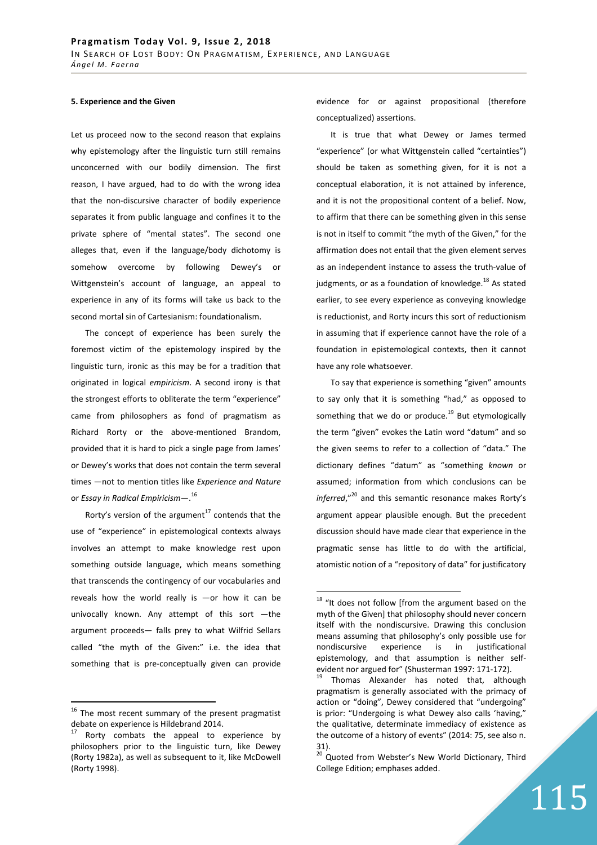## **5. Experience and the Given**

Let us proceed now to the second reason that explains why epistemology after the linguistic turn still remains unconcerned with our bodily dimension. The first reason, I have argued, had to do with the wrong idea that the non-discursive character of bodily experience separates it from public language and confines it to the private sphere of "mental states". The second one alleges that, even if the language/body dichotomy is somehow overcome by following Dewey's or Wittgenstein's account of language, an appeal to experience in any of its forms will take us back to the second mortal sin of Cartesianism: foundationalism.

The concept of experience has been surely the foremost victim of the epistemology inspired by the linguistic turn, ironic as this may be for a tradition that originated in logical *empiricism*. A second irony is that the strongest efforts to obliterate the term "experience" came from philosophers as fond of pragmatism as Richard Rorty or the above-mentioned Brandom, provided that it is hard to pick a single page from James' or Dewey's works that does not contain the term several times —not to mention titles like *Experience and Nature* or *Essay in Radical Empiricism*—. 16

Rorty's version of the argument<sup>17</sup> contends that the use of "experience" in epistemological contexts always involves an attempt to make knowledge rest upon something outside language, which means something that transcends the contingency of our vocabularies and reveals how the world really is —or how it can be univocally known. Any attempt of this sort —the argument proceeds— falls prey to what Wilfrid Sellars called "the myth of the Given:" i.e. the idea that something that is pre-conceptually given can provide

 $16$  The most recent summary of the present pragmatist debate on experience is Hildebrand 2014.

 $\overline{a}$ 

evidence for or against propositional (therefore conceptualized) assertions.

It is true that what Dewey or James termed "experience" (or what Wittgenstein called "certainties") should be taken as something given, for it is not a conceptual elaboration, it is not attained by inference, and it is not the propositional content of a belief. Now, to affirm that there can be something given in this sense is not in itself to commit "the myth of the Given," for the affirmation does not entail that the given element serves as an independent instance to assess the truth-value of judgments, or as a foundation of knowledge. $^{18}$  As stated earlier, to see every experience as conveying knowledge is reductionist, and Rorty incurs this sort of reductionism in assuming that if experience cannot have the role of a foundation in epistemological contexts, then it cannot have any role whatsoever.

To say that experience is something "given" amounts to say only that it is something "had," as opposed to something that we do or produce.<sup>19</sup> But etymologically the term "given" evokes the Latin word "datum" and so the given seems to refer to a collection of "data." The dictionary defines "datum" as "something *known* or assumed; information from which conclusions can be *inferred*,"<sup>20</sup> and this semantic resonance makes Rorty's argument appear plausible enough. But the precedent discussion should have made clear that experience in the pragmatic sense has little to do with the artificial, atomistic notion of a "repository of data" for justificatory

 $\overline{a}$ 

Rorty combats the appeal to experience by philosophers prior to the linguistic turn, like Dewey (Rorty 1982a), as well as subsequent to it, like McDowell (Rorty 1998).

 $18$  "It does not follow [from the argument based on the myth of the Given] that philosophy should never concern itself with the nondiscursive. Drawing this conclusion means assuming that philosophy's only possible use for nondiscursive experience is in justificational epistemology, and that assumption is neither selfevident nor argued for" (Shusterman 1997: 171-172).

 $19$  Thomas Alexander has noted that, although pragmatism is generally associated with the primacy of action or "doing", Dewey considered that "undergoing" is prior: "Undergoing is what Dewey also calls 'having," the qualitative, determinate immediacy of existence as the outcome of a history of events" (2014: 75, see also n. 31).

<sup>&</sup>lt;sup>20</sup> Quoted from Webster's New World Dictionary, Third College Edition; emphases added.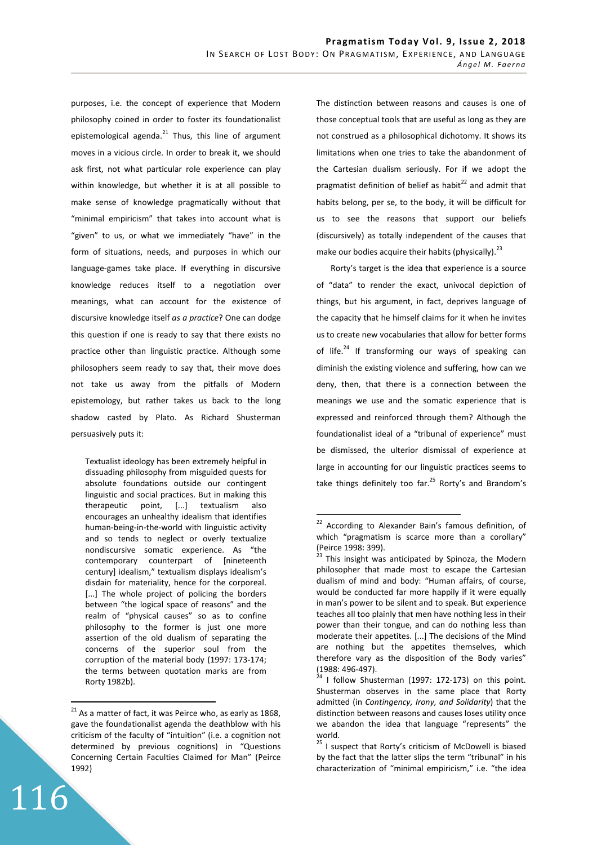purposes, i.e. the concept of experience that Modern philosophy coined in order to foster its foundationalist epistemological agenda. $^{21}$  Thus, this line of argument moves in a vicious circle. In order to break it, we should ask first, not what particular role experience can play within knowledge, but whether it is at all possible to make sense of knowledge pragmatically without that "minimal empiricism" that takes into account what is "given" to us, or what we immediately "have" in the form of situations, needs, and purposes in which our language-games take place. If everything in discursive knowledge reduces itself to a negotiation over meanings, what can account for the existence of discursive knowledge itself *as a practice*? One can dodge this question if one is ready to say that there exists no practice other than linguistic practice. Although some philosophers seem ready to say that, their move does not take us away from the pitfalls of Modern epistemology, but rather takes us back to the long shadow casted by Plato. As Richard Shusterman persuasively puts it:

Textualist ideology has been extremely helpful in dissuading philosophy from misguided quests for absolute foundations outside our contingent linguistic and social practices. But in making this therapeutic point, [...] textualism also encourages an unhealthy idealism that identifies human-being-in-the-world with linguistic activity and so tends to neglect or overly textualize nondiscursive somatic experience. As "the contemporary counterpart of [nineteenth century] idealism," textualism displays idealism's disdain for materiality, hence for the corporeal. [...] The whole project of policing the borders between "the logical space of reasons" and the realm of "physical causes" so as to confine philosophy to the former is just one more assertion of the old dualism of separating the concerns of the superior soul from the corruption of the material body (1997: 173-174; the terms between quotation marks are from Rorty 1982b).

116

 $\overline{a}$ 

The distinction between reasons and causes is one of those conceptual tools that are useful as long as they are not construed as a philosophical dichotomy. It shows its limitations when one tries to take the abandonment of the Cartesian dualism seriously. For if we adopt the pragmatist definition of belief as habit $^{22}$  and admit that habits belong, per se, to the body, it will be difficult for us to see the reasons that support our beliefs (discursively) as totally independent of the causes that make our bodies acquire their habits (physically).  $^{23}$ 

Rorty's target is the idea that experience is a source of "data" to render the exact, univocal depiction of things, but his argument, in fact, deprives language of the capacity that he himself claims for it when he invites us to create new vocabularies that allow for better forms of life.<sup>24</sup> If transforming our ways of speaking can diminish the existing violence and suffering, how can we deny, then, that there is a connection between the meanings we use and the somatic experience that is expressed and reinforced through them? Although the foundationalist ideal of a "tribunal of experience" must be dismissed, the ulterior dismissal of experience at large in accounting for our linguistic practices seems to take things definitely too far. $^{25}$  Rorty's and Brandom's

 $21$  As a matter of fact, it was Peirce who, as early as 1868, gave the foundationalist agenda the deathblow with his criticism of the faculty of "intuition" (i.e. a cognition not determined by previous cognitions) in "Questions Concerning Certain Faculties Claimed for Man" (Peirce 1992)

<sup>&</sup>lt;sup>22</sup> According to Alexander Bain's famous definition, of which "pragmatism is scarce more than a corollary" (Peirce 1998: 399).

 $23$  This insight was anticipated by Spinoza, the Modern philosopher that made most to escape the Cartesian dualism of mind and body: "Human affairs, of course, would be conducted far more happily if it were equally in man's power to be silent and to speak. But experience teaches all too plainly that men have nothing less in their power than their tongue, and can do nothing less than moderate their appetites. [...] The decisions of the Mind are nothing but the appetites themselves, which therefore vary as the disposition of the Body varies" (1988: 496-497).

 $24$  I follow Shusterman (1997: 172-173) on this point. Shusterman observes in the same place that Rorty admitted (in *Contingency, Irony, and Solidarity*) that the distinction between reasons and causes loses utility once we abandon the idea that language "represents" the world.

 $25$  I suspect that Rorty's criticism of McDowell is biased by the fact that the latter slips the term "tribunal" in his characterization of "minimal empiricism," i.e. "the idea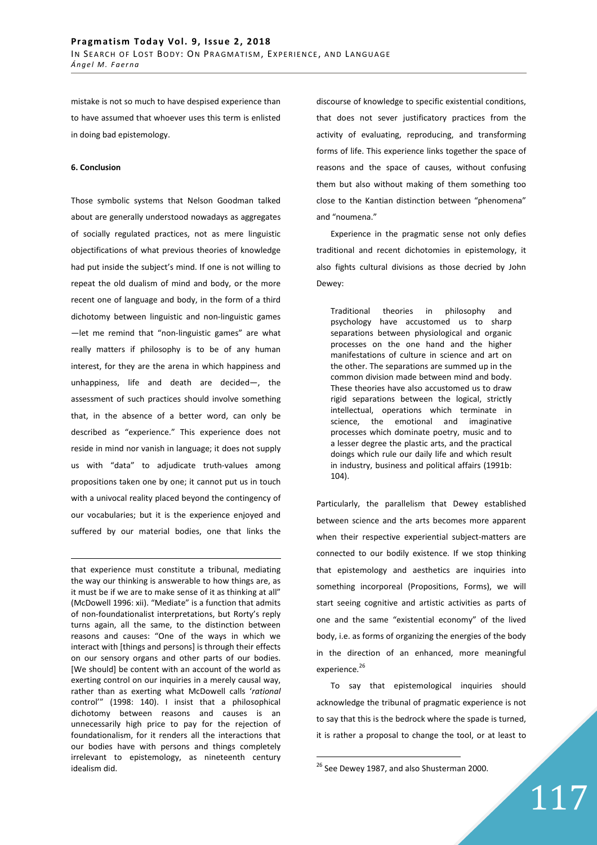mistake is not so much to have despised experience than to have assumed that whoever uses this term is enlisted in doing bad epistemology.

#### **6. Conclusion**

<u>.</u>

Those symbolic systems that Nelson Goodman talked about are generally understood nowadays as aggregates of socially regulated practices, not as mere linguistic objectifications of what previous theories of knowledge had put inside the subject's mind. If one is not willing to repeat the old dualism of mind and body, or the more recent one of language and body, in the form of a third dichotomy between linguistic and non-linguistic games —let me remind that "non-linguistic games" are what really matters if philosophy is to be of any human interest, for they are the arena in which happiness and unhappiness, life and death are decided—, the assessment of such practices should involve something that, in the absence of a better word, can only be described as "experience." This experience does not reside in mind nor vanish in language; it does not supply us with "data" to adjudicate truth-values among propositions taken one by one; it cannot put us in touch with a univocal reality placed beyond the contingency of our vocabularies; but it is the experience enjoyed and suffered by our material bodies, one that links the

that experience must constitute a tribunal, mediating the way our thinking is answerable to how things are, as it must be if we are to make sense of it as thinking at all" (McDowell 1996: xii). "Mediate" is a function that admits of non-foundationalist interpretations, but Rorty's reply turns again, all the same, to the distinction between reasons and causes: "One of the ways in which we interact with [things and persons] is through their effects on our sensory organs and other parts of our bodies. [We should] be content with an account of the world as exerting control on our inquiries in a merely causal way, rather than as exerting what McDowell calls '*rational* control'" (1998: 140). I insist that a philosophical dichotomy between reasons and causes is an unnecessarily high price to pay for the rejection of foundationalism, for it renders all the interactions that our bodies have with persons and things completely irrelevant to epistemology, as nineteenth century idealism did.

discourse of knowledge to specific existential conditions, that does not sever justificatory practices from the activity of evaluating, reproducing, and transforming forms of life. This experience links together the space of reasons and the space of causes, without confusing them but also without making of them something too close to the Kantian distinction between "phenomena" and "noumena."

Experience in the pragmatic sense not only defies traditional and recent dichotomies in epistemology, it also fights cultural divisions as those decried by John Dewey:

Traditional theories in philosophy and psychology have accustomed us to sharp separations between physiological and organic processes on the one hand and the higher manifestations of culture in science and art on the other. The separations are summed up in the common division made between mind and body. These theories have also accustomed us to draw rigid separations between the logical, strictly intellectual, operations which terminate in science, the emotional and imaginative processes which dominate poetry, music and to a lesser degree the plastic arts, and the practical doings which rule our daily life and which result in industry, business and political affairs (1991b: 104).

Particularly, the parallelism that Dewey established between science and the arts becomes more apparent when their respective experiential subject-matters are connected to our bodily existence. If we stop thinking that epistemology and aesthetics are inquiries into something incorporeal (Propositions, Forms), we will start seeing cognitive and artistic activities as parts of one and the same "existential economy" of the lived body, i.e. as forms of organizing the energies of the body in the direction of an enhanced, more meaningful experience.<sup>26</sup>

To say that epistemological inquiries should acknowledge the tribunal of pragmatic experience is not to say that this is the bedrock where the spade is turned, it is rather a proposal to change the tool, or at least to

 $26$  See Dewey 1987, and also Shusterman 2000.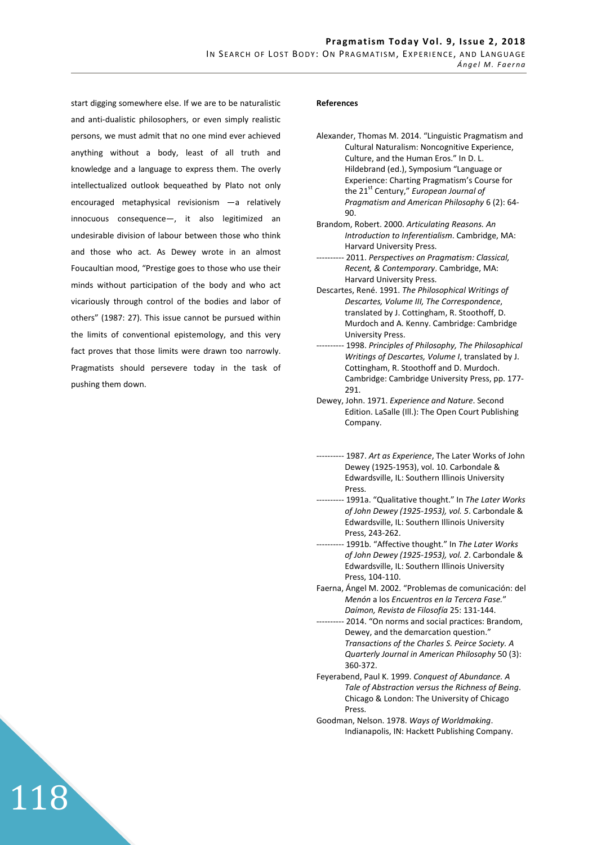start digging somewhere else. If we are to be naturalistic and anti-dualistic philosophers, or even simply realistic persons, we must admit that no one mind ever achieved anything without a body, least of all truth and knowledge and a language to express them. The overly intellectualized outlook bequeathed by Plato not only encouraged metaphysical revisionism —a relatively innocuous consequence—, it also legitimized an undesirable division of labour between those who think and those who act. As Dewey wrote in an almost Foucaultian mood, "Prestige goes to those who use their minds without participation of the body and who act vicariously through control of the bodies and labor of others" (1987: 27). This issue cannot be pursued within the limits of conventional epistemology, and this very fact proves that those limits were drawn too narrowly. Pragmatists should persevere today in the task of pushing them down.

118

#### **References**

- Brandom, Robert. 2000. *Articulating Reasons. An Introduction to Inferentialism*. Cambridge, MA: Harvard University Press.
- ---------- 2011. *Perspectives on Pragmatism: Classical, Recent, & Contemporary*. Cambridge, MA: Harvard University Press.
- Descartes, René. 1991. *The Philosophical Writings of Descartes, Volume III, The Correspondence*, translated by J. Cottingham, R. Stoothoff, D. Murdoch and A. Kenny. Cambridge: Cambridge University Press.
- ---------- 1998. *Principles of Philosophy, The Philosophical Writings of Descartes, Volume I*, translated by J. Cottingham, R. Stoothoff and D. Murdoch. Cambridge: Cambridge University Press, pp. 177- 291.
- Dewey, John. 1971. *Experience and Nature*. Second Edition. LaSalle (Ill.): The Open Court Publishing Company.
- ---------- 1987. *Art as Experience*, The Later Works of John Dewey (1925-1953), vol. 10. Carbondale & Edwardsville, IL: Southern Illinois University Press.
- ---------- 1991a. "Qualitative thought." In *The Later Works of John Dewey (1925-1953), vol. 5*. Carbondale & Edwardsville, IL: Southern Illinois University Press, 243-262.
- ---------- 1991b. "Affective thought." In *The Later Works of John Dewey (1925-1953), vol. 2*. Carbondale & Edwardsville, IL: Southern Illinois University Press, 104-110.
- Faerna, Ángel M. 2002. "Problemas de comunicación: del *Menón* a los *Encuentros en la Tercera Fase.*" *Daímon, Revista de Filosofía* 25: 131-144.
- ---------- 2014. "On norms and social practices: Brandom, Dewey, and the demarcation question." *Transactions of the Charles S. Peirce Society. A Quarterly Journal in American Philosophy* 50 (3): 360-372.
- Feyerabend, Paul K. 1999. *Conquest of Abundance. A Tale of Abstraction versus the Richness of Being*. Chicago & London: The University of Chicago Press.
- Goodman, Nelson. 1978. *Ways of Worldmaking*. Indianapolis, IN: Hackett Publishing Company.

Alexander, Thomas M. 2014. "Linguistic Pragmatism and Cultural Naturalism: Noncognitive Experience, Culture, and the Human Eros." In D. L. Hildebrand (ed.), Symposium "Language or Experience: Charting Pragmatism's Course for the 21<sup>st</sup> Century," *European Journal of Pragmatism and American Philosophy* 6 (2): 64- 90.